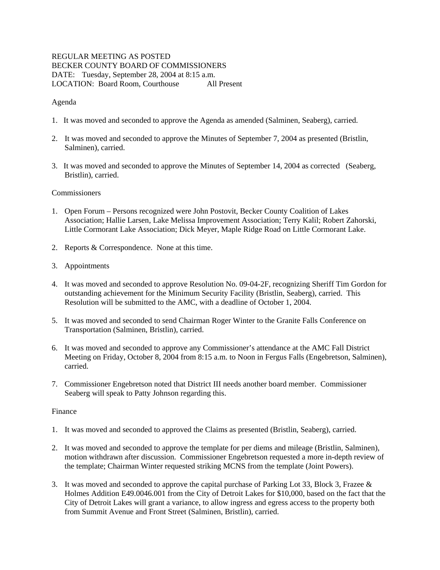# REGULAR MEETING AS POSTED BECKER COUNTY BOARD OF COMMISSIONERS DATE: Tuesday, September 28, 2004 at 8:15 a.m. LOCATION: Board Room, Courthouse All Present

## Agenda

- 1. It was moved and seconded to approve the Agenda as amended (Salminen, Seaberg), carried.
- 2. It was moved and seconded to approve the Minutes of September 7, 2004 as presented (Bristlin, Salminen), carried.
- 3. It was moved and seconded to approve the Minutes of September 14, 2004 as corrected (Seaberg, Bristlin), carried.

#### **Commissioners**

- 1. Open Forum Persons recognized were John Postovit, Becker County Coalition of Lakes Association; Hallie Larsen, Lake Melissa Improvement Association; Terry Kalil; Robert Zahorski, Little Cormorant Lake Association; Dick Meyer, Maple Ridge Road on Little Cormorant Lake.
- 2. Reports & Correspondence. None at this time.
- 3. Appointments
- 4. It was moved and seconded to approve Resolution No. 09-04-2F, recognizing Sheriff Tim Gordon for outstanding achievement for the Minimum Security Facility (Bristlin, Seaberg), carried. This Resolution will be submitted to the AMC, with a deadline of October 1, 2004.
- 5. It was moved and seconded to send Chairman Roger Winter to the Granite Falls Conference on Transportation (Salminen, Bristlin), carried.
- 6. It was moved and seconded to approve any Commissioner's attendance at the AMC Fall District Meeting on Friday, October 8, 2004 from 8:15 a.m. to Noon in Fergus Falls (Engebretson, Salminen), carried.
- 7. Commissioner Engebretson noted that District III needs another board member. Commissioner Seaberg will speak to Patty Johnson regarding this.

## Finance

- 1. It was moved and seconded to approved the Claims as presented (Bristlin, Seaberg), carried.
- 2. It was moved and seconded to approve the template for per diems and mileage (Bristlin, Salminen), motion withdrawn after discussion. Commissioner Engebretson requested a more in-depth review of the template; Chairman Winter requested striking MCNS from the template (Joint Powers).
- 3. It was moved and seconded to approve the capital purchase of Parking Lot 33, Block 3, Frazee & Holmes Addition E49.0046.001 from the City of Detroit Lakes for \$10,000, based on the fact that the City of Detroit Lakes will grant a variance, to allow ingress and egress access to the property both from Summit Avenue and Front Street (Salminen, Bristlin), carried.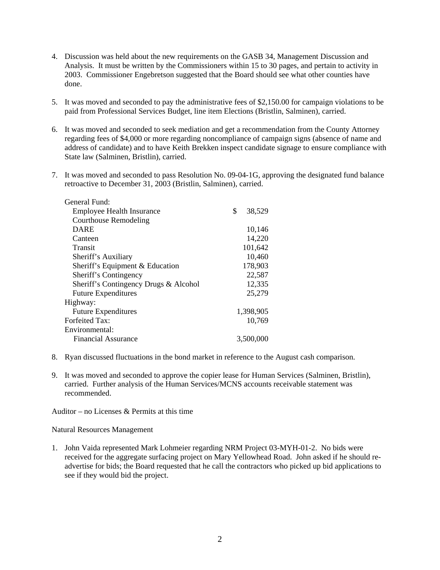- 4. Discussion was held about the new requirements on the GASB 34, Management Discussion and Analysis. It must be written by the Commissioners within 15 to 30 pages, and pertain to activity in 2003. Commissioner Engebretson suggested that the Board should see what other counties have done.
- 5. It was moved and seconded to pay the administrative fees of \$2,150.00 for campaign violations to be paid from Professional Services Budget, line item Elections (Bristlin, Salminen), carried.
- 6. It was moved and seconded to seek mediation and get a recommendation from the County Attorney regarding fees of \$4,000 or more regarding noncompliance of campaign signs (absence of name and address of candidate) and to have Keith Brekken inspect candidate signage to ensure compliance with State law (Salminen, Bristlin), carried.
- 7. It was moved and seconded to pass Resolution No. 09-04-1G, approving the designated fund balance retroactive to December 31, 2003 (Bristlin, Salminen), carried.

| General Fund:                         |              |
|---------------------------------------|--------------|
| <b>Employee Health Insurance</b>      | \$<br>38,529 |
| <b>Courthouse Remodeling</b>          |              |
| <b>DARE</b>                           | 10,146       |
| Canteen                               | 14,220       |
| Transit                               | 101,642      |
| Sheriff's Auxiliary                   | 10,460       |
| Sheriff's Equipment & Education       | 178,903      |
| Sheriff's Contingency                 | 22,587       |
| Sheriff's Contingency Drugs & Alcohol | 12,335       |
| <b>Future Expenditures</b>            | 25,279       |
| Highway:                              |              |
| <b>Future Expenditures</b>            | 1,398,905    |
| <b>Forfeited Tax:</b>                 | 10,769       |
| Environmental:                        |              |
| <b>Financial Assurance</b>            | 3.500,000    |
|                                       |              |

- 8. Ryan discussed fluctuations in the bond market in reference to the August cash comparison.
- 9. It was moved and seconded to approve the copier lease for Human Services (Salminen, Bristlin), carried. Further analysis of the Human Services/MCNS accounts receivable statement was recommended.

Auditor – no Licenses & Permits at this time

Natural Resources Management

1. John Vaida represented Mark Lohmeier regarding NRM Project 03-MYH-01-2. No bids were received for the aggregate surfacing project on Mary Yellowhead Road. John asked if he should readvertise for bids; the Board requested that he call the contractors who picked up bid applications to see if they would bid the project.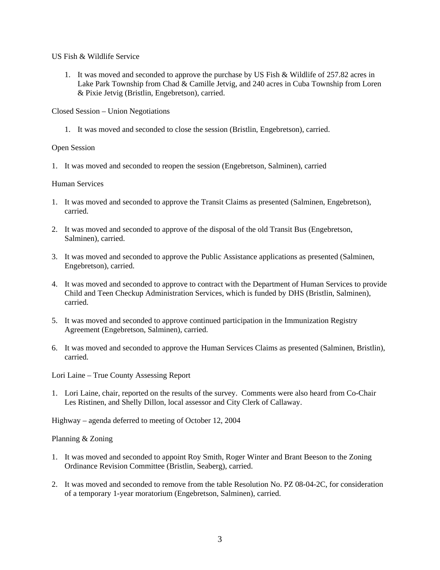US Fish & Wildlife Service

1. It was moved and seconded to approve the purchase by US Fish & Wildlife of 257.82 acres in Lake Park Township from Chad & Camille Jetvig, and 240 acres in Cuba Township from Loren & Pixie Jetvig (Bristlin, Engebretson), carried.

Closed Session – Union Negotiations

1. It was moved and seconded to close the session (Bristlin, Engebretson), carried.

## Open Session

1. It was moved and seconded to reopen the session (Engebretson, Salminen), carried

## Human Services

- 1. It was moved and seconded to approve the Transit Claims as presented (Salminen, Engebretson), carried.
- 2. It was moved and seconded to approve of the disposal of the old Transit Bus (Engebretson, Salminen), carried.
- 3. It was moved and seconded to approve the Public Assistance applications as presented (Salminen, Engebretson), carried.
- 4. It was moved and seconded to approve to contract with the Department of Human Services to provide Child and Teen Checkup Administration Services, which is funded by DHS (Bristlin, Salminen), carried.
- 5. It was moved and seconded to approve continued participation in the Immunization Registry Agreement (Engebretson, Salminen), carried.
- 6. It was moved and seconded to approve the Human Services Claims as presented (Salminen, Bristlin), carried.

Lori Laine – True County Assessing Report

1. Lori Laine, chair, reported on the results of the survey. Comments were also heard from Co-Chair Les Ristinen, and Shelly Dillon, local assessor and City Clerk of Callaway.

Highway – agenda deferred to meeting of October 12, 2004

#### Planning & Zoning

- 1. It was moved and seconded to appoint Roy Smith, Roger Winter and Brant Beeson to the Zoning Ordinance Revision Committee (Bristlin, Seaberg), carried.
- 2. It was moved and seconded to remove from the table Resolution No. PZ 08-04-2C, for consideration of a temporary 1-year moratorium (Engebretson, Salminen), carried.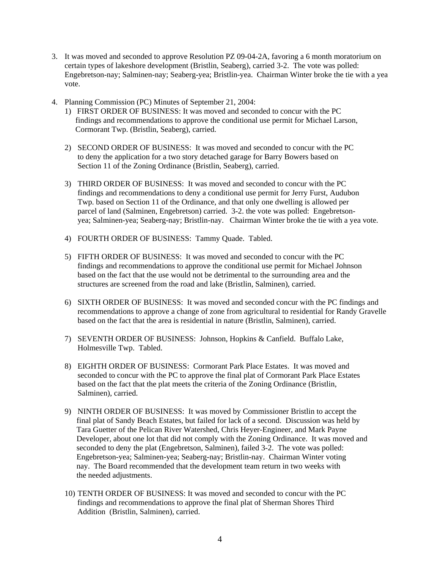- 3. It was moved and seconded to approve Resolution PZ 09-04-2A, favoring a 6 month moratorium on certain types of lakeshore development (Bristlin, Seaberg), carried 3-2. The vote was polled: Engebretson-nay; Salminen-nay; Seaberg-yea; Bristlin-yea. Chairman Winter broke the tie with a yea vote.
- 4. Planning Commission (PC) Minutes of September 21, 2004:
	- 1) FIRST ORDER OF BUSINESS: It was moved and seconded to concur with the PC findings and recommendations to approve the conditional use permit for Michael Larson, Cormorant Twp. (Bristlin, Seaberg), carried.
	- 2) SECOND ORDER OF BUSINESS: It was moved and seconded to concur with the PC to deny the application for a two story detached garage for Barry Bowers based on Section 11 of the Zoning Ordinance (Bristlin, Seaberg), carried.
	- 3) THIRD ORDER OF BUSINESS: It was moved and seconded to concur with the PC findings and recommendations to deny a conditional use permit for Jerry Furst, Audubon Twp. based on Section 11 of the Ordinance, and that only one dwelling is allowed per parcel of land (Salminen, Engebretson) carried. 3-2. the vote was polled: Engebretsonyea; Salminen-yea; Seaberg-nay; Bristlin-nay. Chairman Winter broke the tie with a yea vote.
	- 4) FOURTH ORDER OF BUSINESS: Tammy Quade. Tabled.
	- 5) FIFTH ORDER OF BUSINESS: It was moved and seconded to concur with the PC findings and recommendations to approve the conditional use permit for Michael Johnson based on the fact that the use would not be detrimental to the surrounding area and the structures are screened from the road and lake (Bristlin, Salminen), carried.
	- 6) SIXTH ORDER OF BUSINESS: It was moved and seconded concur with the PC findings and recommendations to approve a change of zone from agricultural to residential for Randy Gravelle based on the fact that the area is residential in nature (Bristlin, Salminen), carried.
	- 7) SEVENTH ORDER OF BUSINESS: Johnson, Hopkins & Canfield. Buffalo Lake, Holmesville Twp. Tabled.
	- 8) EIGHTH ORDER OF BUSINESS: Cormorant Park Place Estates. It was moved and seconded to concur with the PC to approve the final plat of Cormorant Park Place Estates based on the fact that the plat meets the criteria of the Zoning Ordinance (Bristlin, Salminen), carried.
	- 9) NINTH ORDER OF BUSINESS: It was moved by Commissioner Bristlin to accept the final plat of Sandy Beach Estates, but failed for lack of a second. Discussion was held by Tara Guetter of the Pelican River Watershed, Chris Heyer-Engineer, and Mark Payne Developer, about one lot that did not comply with the Zoning Ordinance. It was moved and seconded to deny the plat (Engebretson, Salminen), failed 3-2. The vote was polled: Engebretson-yea; Salminen-yea; Seaberg-nay; Bristlin-nay. Chairman Winter voting nay. The Board recommended that the development team return in two weeks with the needed adjustments.
	- 10) TENTH ORDER OF BUSINESS: It was moved and seconded to concur with the PC findings and recommendations to approve the final plat of Sherman Shores Third Addition (Bristlin, Salminen), carried.